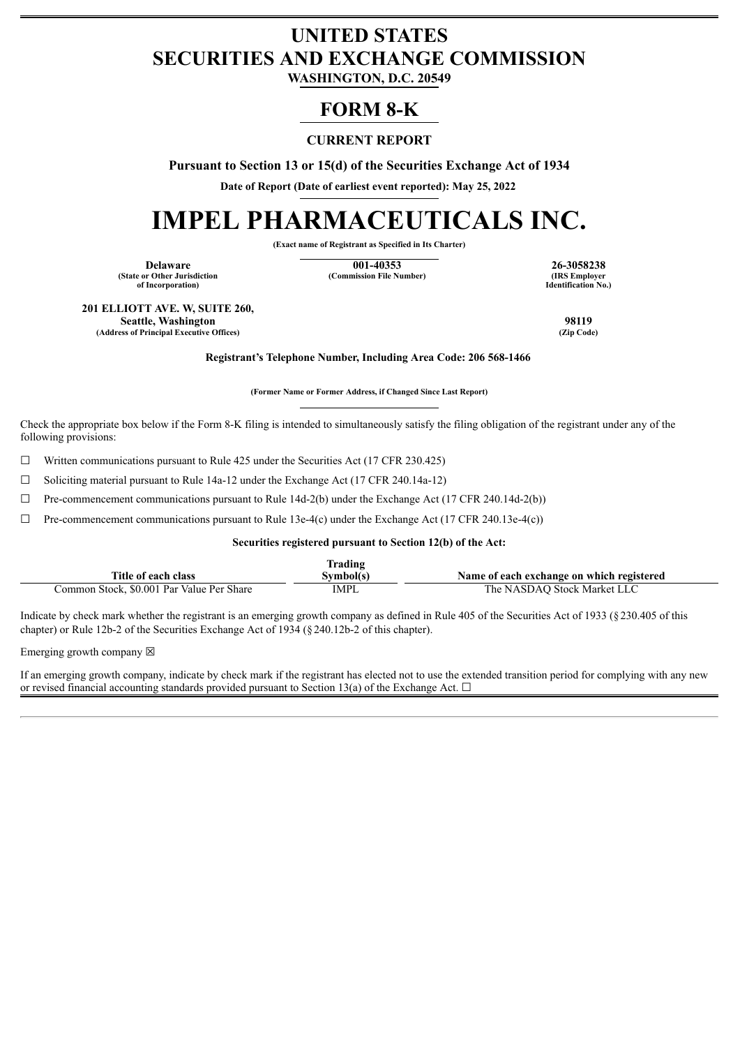## **UNITED STATES SECURITIES AND EXCHANGE COMMISSION**

**WASHINGTON, D.C. 20549**

### **FORM 8-K**

#### **CURRENT REPORT**

**Pursuant to Section 13 or 15(d) of the Securities Exchange Act of 1934**

**Date of Report (Date of earliest event reported): May 25, 2022**

# **IMPEL PHARMACEUTICALS INC.**

**(Exact name of Registrant as Specified in Its Charter)**

**(State or Other Jurisdiction of Incorporation)**

**Delaware 1988 26-3058238 26-3058238 26-3058238 26-3058238 26-3058238 26-3058238 (Commission File Number)** 

**Identification No.)**

**201 ELLIOTT AVE. W, SUITE 260, Seattle, Washington 98119**<br> **Seattle, Washington 98119**<br> **CALCE COMPANY COMPANY COMPANY COMPANY COMPANY COMPANY COMPANY COMPANY COMPANY COMPANY COMPANY (Address of Principal Executive Offices)** 

**Registrant's Telephone Number, Including Area Code: 206 568-1466**

**(Former Name or Former Address, if Changed Since Last Report)**

Check the appropriate box below if the Form 8-K filing is intended to simultaneously satisfy the filing obligation of the registrant under any of the following provisions:

 $\Box$  Written communications pursuant to Rule 425 under the Securities Act (17 CFR 230.425)

☐ Soliciting material pursuant to Rule 14a-12 under the Exchange Act (17 CFR 240.14a-12)

 $\Box$  Pre-commencement communications pursuant to Rule 14d-2(b) under the Exchange Act (17 CFR 240.14d-2(b))

 $\Box$  Pre-commencement communications pursuant to Rule 13e-4(c) under the Exchange Act (17 CFR 240.13e-4(c))

**Securities registered pursuant to Section 12(b) of the Act:**

|                                           | Trading   |                                           |
|-------------------------------------------|-----------|-------------------------------------------|
| Title of each class                       | Svmbol(s` | Name of each exchange on which registered |
| Common Stock, \$0.001 Par Value Per Share | IMPL      | The NASDAO Stock Market LLC               |

Indicate by check mark whether the registrant is an emerging growth company as defined in Rule 405 of the Securities Act of 1933 (§230.405 of this chapter) or Rule 12b-2 of the Securities Exchange Act of 1934 (§240.12b-2 of this chapter).

Emerging growth company  $\boxtimes$ 

If an emerging growth company, indicate by check mark if the registrant has elected not to use the extended transition period for complying with any new or revised financial accounting standards provided pursuant to Section 13(a) of the Exchange Act.  $\Box$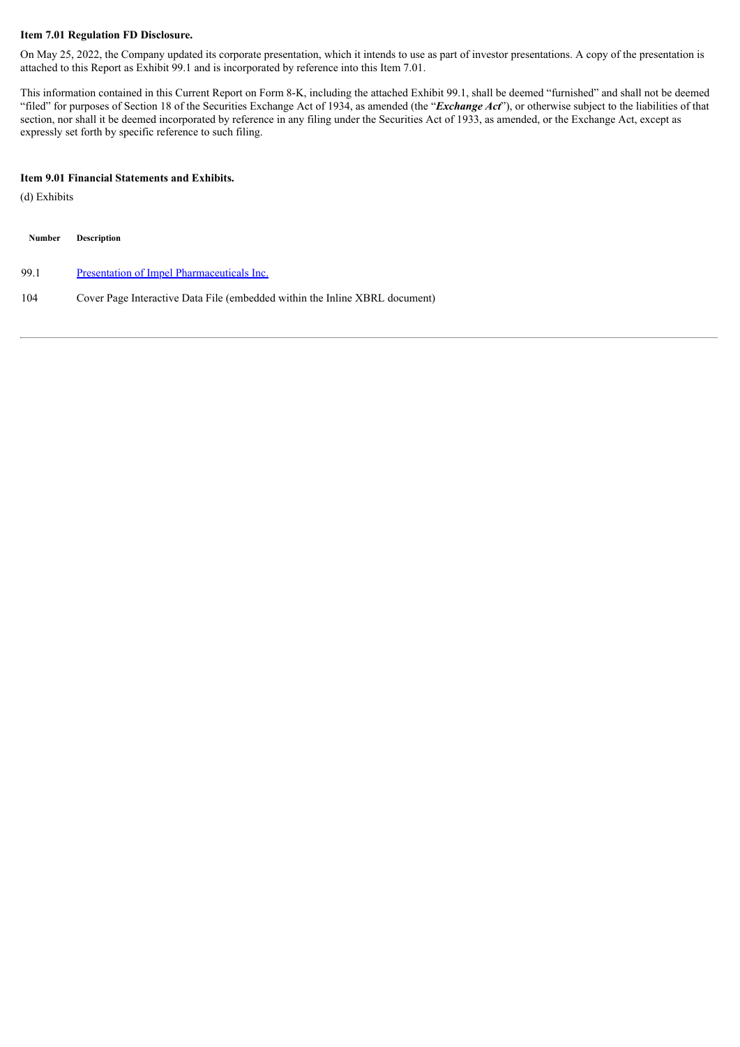#### **Item 7.01 Regulation FD Disclosure.**

On May 25, 2022, the Company updated its corporate presentation, which it intends to use as part of investor presentations. A copy of the presentation is attached to this Report as Exhibit 99.1 and is incorporated by reference into this Item 7.01.

This information contained in this Current Report on Form 8-K, including the attached Exhibit 99.1, shall be deemed "furnished" and shall not be deemed "filed" for purposes of Section 18 of the Securities Exchange Act of 1934, as amended (the "*Exchange Act*"), or otherwise subject to the liabilities of that section, nor shall it be deemed incorporated by reference in any filing under the Securities Act of 1933, as amended, or the Exchange Act, except as expressly set forth by specific reference to such filing.

#### **Item 9.01 Financial Statements and Exhibits.**

(d) Exhibits

| <b>Number</b> | <b>Description</b>                                                          |
|---------------|-----------------------------------------------------------------------------|
| 99.1          | Presentation of Impel Pharmaceuticals Inc.                                  |
| 104           | Cover Page Interactive Data File (embedded within the Inline XBRL document) |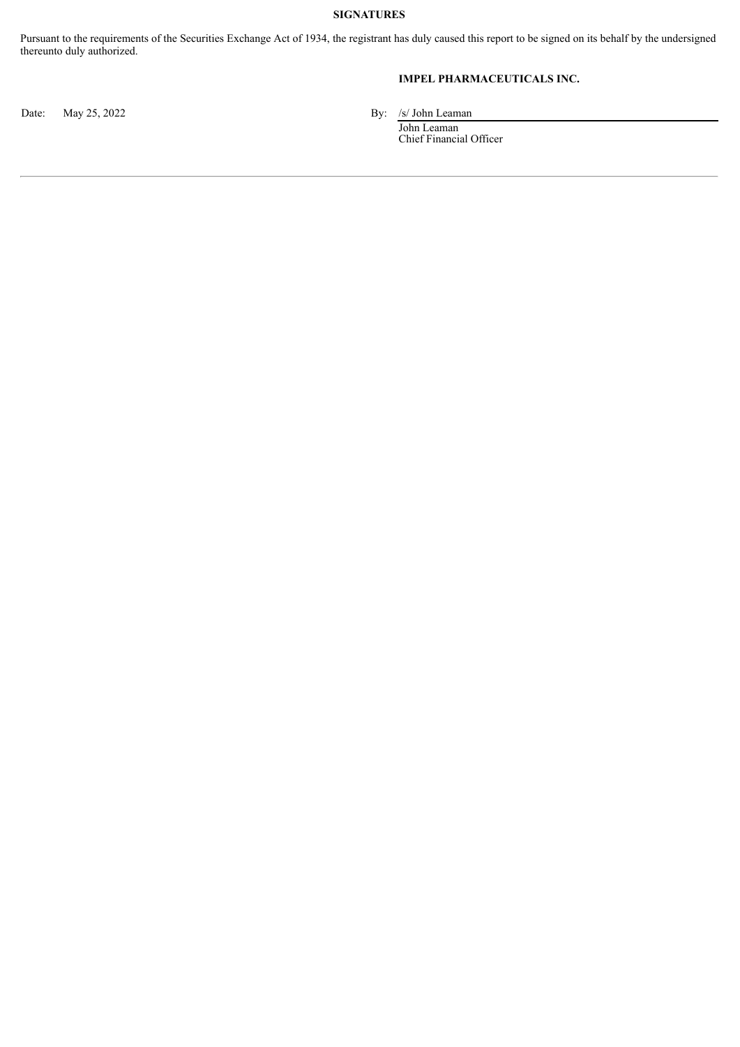#### **SIGNATURES**

Pursuant to the requirements of the Securities Exchange Act of 1934, the registrant has duly caused this report to be signed on its behalf by the undersigned thereunto duly authorized.

#### **IMPEL PHARMACEUTICALS INC.**

Date: May 25, 2022 By: /s/ John Leaman

John Leaman Chief Financial Officer